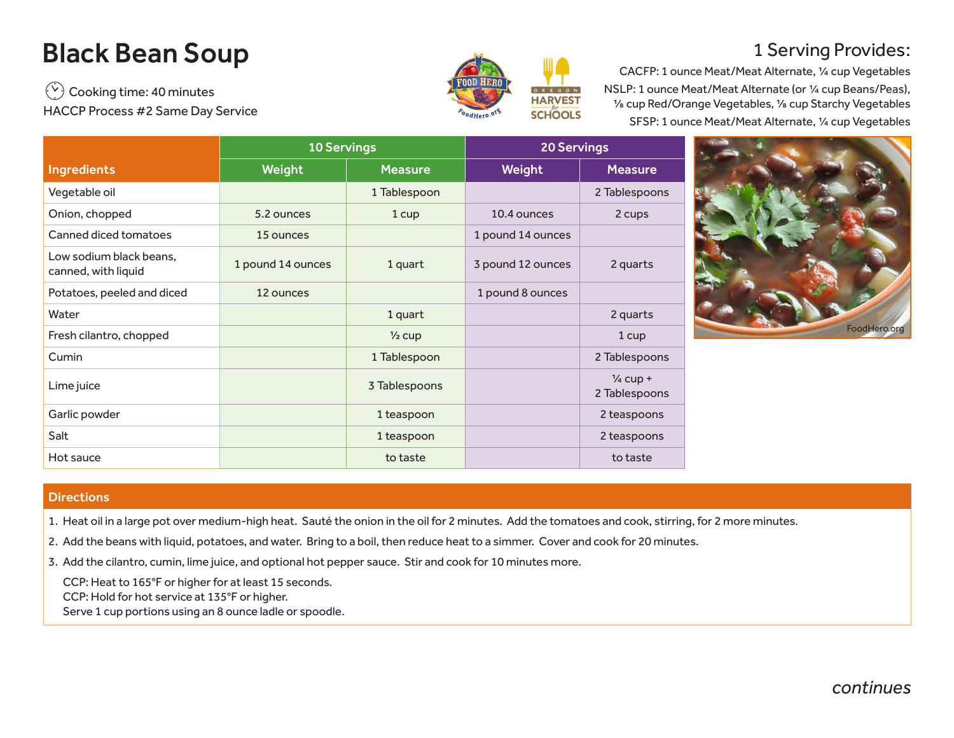## Black Bean Soup

 $\binom{V}{V}$  Cooking time: 40 minutes HACCP Process #2 Same Day Service



## 1 Serving Provides:

CACFP: 1 ounce Meat/Meat Alternate, ¼ cup Vegetables NSLP: 1 ounce Meat/Meat Alternate (or ¼ cup Beans/Peas), ⅛ cup Red/Orange Vegetables, ⅛ cup Starchy Vegetables SFSP: 1 ounce Meat/Meat Alternate, ¼ cup Vegetables

|                                                | <b>10 Servings</b> |                   | <b>20 Servings</b> |                                      |  |
|------------------------------------------------|--------------------|-------------------|--------------------|--------------------------------------|--|
| <b>Ingredients</b>                             | Weight             | <b>Measure</b>    | Weight             | <b>Measure</b>                       |  |
| Vegetable oil                                  |                    | 1 Tablespoon      |                    | 2 Tablespoons                        |  |
| Onion, chopped                                 | 5.2 ounces         | 1 cup             | 10.4 ounces        | 2 cups                               |  |
| Canned diced tomatoes                          | 15 ounces          |                   | 1 pound 14 ounces  |                                      |  |
| Low sodium black beans,<br>canned, with liquid | 1 pound 14 ounces  | 1 quart           | 3 pound 12 ounces  | 2 quarts                             |  |
| Potatoes, peeled and diced                     | 12 ounces          |                   | 1 pound 8 ounces   |                                      |  |
| Water                                          |                    | 1 quart           |                    | 2 quarts                             |  |
| Fresh cilantro, chopped                        |                    | $\frac{1}{2}$ cup |                    | 1 cup                                |  |
| Cumin                                          |                    | 1 Tablespoon      |                    | 2 Tablespoons                        |  |
| Lime juice                                     |                    | 3 Tablespoons     |                    | $\frac{1}{4}$ cup +<br>2 Tablespoons |  |
| Garlic powder                                  |                    | 1 teaspoon        |                    | 2 teaspoons                          |  |
| Salt                                           |                    | 1 teaspoon        |                    | 2 teaspoons                          |  |
| Hot sauce                                      |                    | to taste          |                    | to taste                             |  |



## **Directions**

- 1. Heat oil in a large pot over medium-high heat. Sauté the onion in the oil for 2 minutes. Add the tomatoes and cook, stirring, for 2 more minutes.
- 2. Add the beans with liquid, potatoes, and water. Bring to a boil, then reduce heat to a simmer. Cover and cook for 20 minutes.
- 3. Add the cilantro, cumin, lime juice, and optional hot pepper sauce. Stir and cook for 10 minutes more.

CCP: Heat to 165°F or higher for at least 15 seconds. CCP: Hold for hot service at 135°F or higher.

Serve 1 cup portions using an 8 ounce ladle or spoodle.